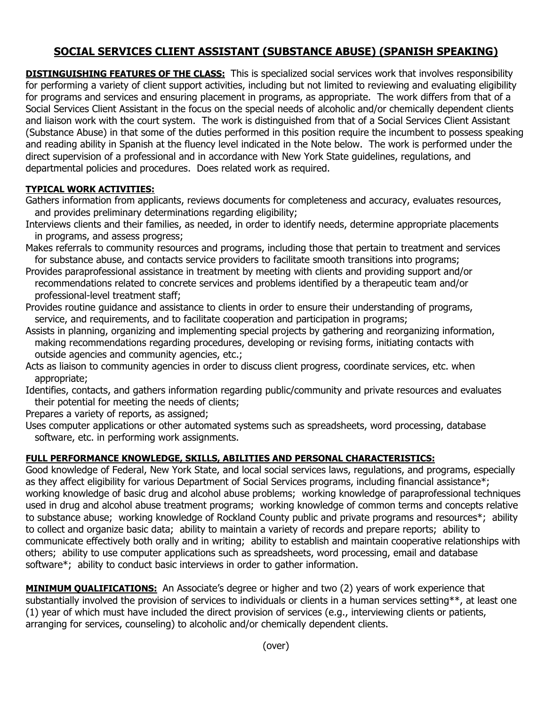## **SOCIAL SERVICES CLIENT ASSISTANT (SUBSTANCE ABUSE) (SPANISH SPEAKING)**

**DISTINGUISHING FEATURES OF THE CLASS:** This is specialized social services work that involves responsibility for performing a variety of client support activities, including but not limited to reviewing and evaluating eligibility for programs and services and ensuring placement in programs, as appropriate. The work differs from that of a Social Services Client Assistant in the focus on the special needs of alcoholic and/or chemically dependent clients and liaison work with the court system. The work is distinguished from that of a Social Services Client Assistant (Substance Abuse) in that some of the duties performed in this position require the incumbent to possess speaking and reading ability in Spanish at the fluency level indicated in the Note below. The work is performed under the direct supervision of a professional and in accordance with New York State guidelines, regulations, and departmental policies and procedures. Does related work as required.

## **TYPICAL WORK ACTIVITIES:**

- Gathers information from applicants, reviews documents for completeness and accuracy, evaluates resources, and provides preliminary determinations regarding eligibility;
- Interviews clients and their families, as needed, in order to identify needs, determine appropriate placements in programs, and assess progress;
- Makes referrals to community resources and programs, including those that pertain to treatment and services for substance abuse, and contacts service providers to facilitate smooth transitions into programs;
- Provides paraprofessional assistance in treatment by meeting with clients and providing support and/or recommendations related to concrete services and problems identified by a therapeutic team and/or professional-level treatment staff;
- Provides routine guidance and assistance to clients in order to ensure their understanding of programs, service, and requirements, and to facilitate cooperation and participation in programs;
- Assists in planning, organizing and implementing special projects by gathering and reorganizing information, making recommendations regarding procedures, developing or revising forms, initiating contacts with outside agencies and community agencies, etc.;
- Acts as liaison to community agencies in order to discuss client progress, coordinate services, etc. when appropriate;
- Identifies, contacts, and gathers information regarding public/community and private resources and evaluates their potential for meeting the needs of clients;

Prepares a variety of reports, as assigned;

Uses computer applications or other automated systems such as spreadsheets, word processing, database software, etc. in performing work assignments.

## **FULL PERFORMANCE KNOWLEDGE, SKILLS, ABILITIES AND PERSONAL CHARACTERISTICS:**

Good knowledge of Federal, New York State, and local social services laws, regulations, and programs, especially as they affect eligibility for various Department of Social Services programs, including financial assistance\*; working knowledge of basic drug and alcohol abuse problems; working knowledge of paraprofessional techniques used in drug and alcohol abuse treatment programs; working knowledge of common terms and concepts relative to substance abuse; working knowledge of Rockland County public and private programs and resources\*; ability to collect and organize basic data; ability to maintain a variety of records and prepare reports; ability to communicate effectively both orally and in writing; ability to establish and maintain cooperative relationships with others; ability to use computer applications such as spreadsheets, word processing, email and database software\*; ability to conduct basic interviews in order to gather information.

**MINIMUM QUALIFICATIONS:** An Associate's degree or higher and two (2) years of work experience that substantially involved the provision of services to individuals or clients in a human services setting\*\*, at least one (1) year of which must have included the direct provision of services (e.g., interviewing clients or patients, arranging for services, counseling) to alcoholic and/or chemically dependent clients.